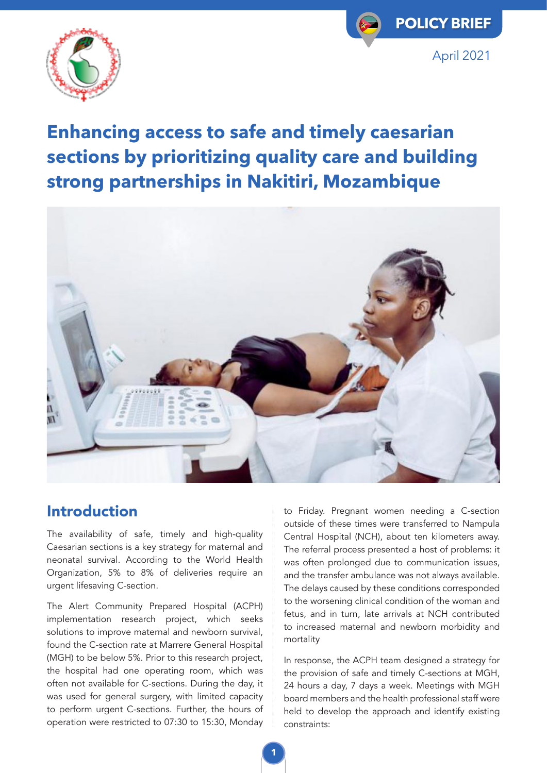



# **Enhancing access to safe and timely caesarian sections by prioritizing quality care and building strong partnerships in Nakitiri, Mozambique**



### Introduction

The availability of safe, timely and high-quality Caesarian sections is a key strategy for maternal and neonatal survival. According to the World Health Organization, 5% to 8% of deliveries require an urgent lifesaving C-section.

The Alert Community Prepared Hospital (ACPH) implementation research project, which seeks solutions to improve maternal and newborn survival, found the C-section rate at Marrere General Hospital (MGH) to be below 5%. Prior to this research project, the hospital had one operating room, which was often not available for C-sections. During the day, it was used for general surgery, with limited capacity to perform urgent C-sections. Further, the hours of operation were restricted to 07:30 to 15:30, Monday to Friday. Pregnant women needing a C-section outside of these times were transferred to Nampula Central Hospital (NCH), about ten kilometers away. The referral process presented a host of problems: it was often prolonged due to communication issues, and the transfer ambulance was not always available. The delays caused by these conditions corresponded to the worsening clinical condition of the woman and fetus, and in turn, late arrivals at NCH contributed to increased maternal and newborn morbidity and mortality

In response, the ACPH team designed a strategy for the provision of safe and timely C-sections at MGH, 24 hours a day, 7 days a week. Meetings with MGH board members and the health professional staff were held to develop the approach and identify existing constraints: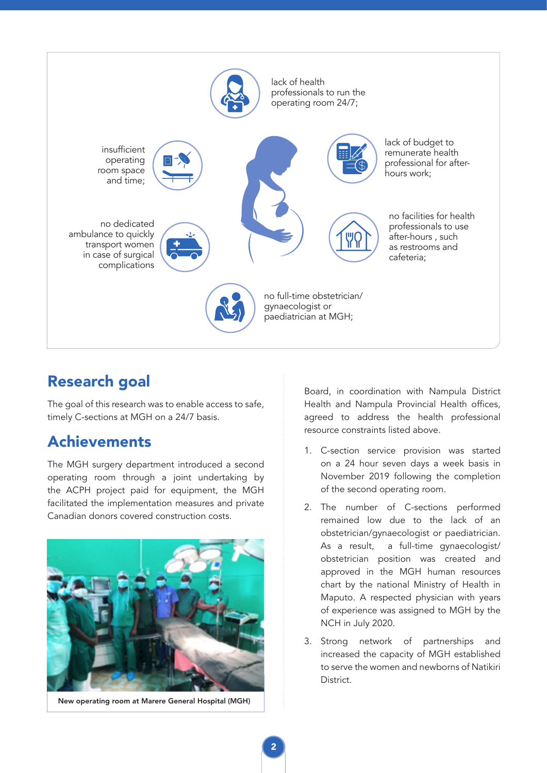

## Research goal

The goal of this research was to enable access to safe, timely C-sections at MGH on a 24/7 basis.

### Achievements

The MGH surgery department introduced a second operating room through a joint undertaking by the ACPH project paid for equipment, the MGH facilitated the implementation measures and private Canadian donors covered construction costs.



New operating room at Marere General Hospital (MGH)

Board, in coordination with Nampula District Health and Nampula Provincial Health offices, agreed to address the health professional resource constraints listed above.

- 1. C-section service provision was started on a 24 hour seven days a week basis in November 2019 following the completion of the second operating room.
- 2. The number of C-sections performed remained low due to the lack of an obstetrician/gynaecologist or paediatrician. As a result, a full-time gynaecologist/ obstetrician position was created and approved in the MGH human resources chart by the national Ministry of Health in Maputo. A respected physician with years of experience was assigned to MGH by the NCH in July 2020.
- 3. Strong network of partnerships and increased the capacity of MGH established to serve the women and newborns of Natikiri **District**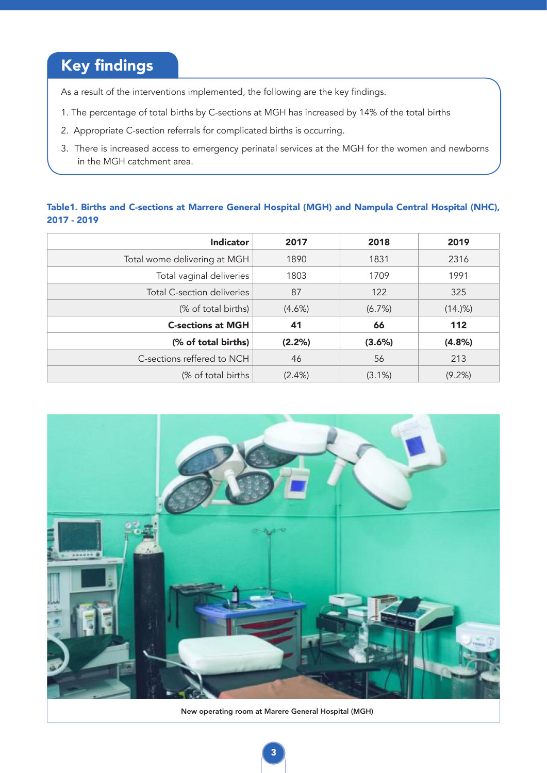## Key findings

As a result of the interventions implemented, the following are the key findings.

- 1. The percentage of total births by C-sections at MGH has increased by 14% of the total births
- 2. Appropriate C-section referrals for complicated births is occurring.
- 3. There is increased access to emergency perinatal services at the MGH for the women and newborns in the MGH catchment area.

#### Table1. Births and C-sections at Marrere General Hospital (MGH) and Nampula Central Hospital (NHC), 2017 - 2019

| Indicator                    | 2017      | 2018      | 2019      |
|------------------------------|-----------|-----------|-----------|
| Total wome delivering at MGH | 1890      | 1831      | 2316      |
| Total vaginal deliveries     | 1803      | 1709      | 1991      |
| Total C-section deliveries   | 87        | 122       | 325       |
| (% of total births)          | $(4.6\%)$ | (6.7%)    | (14.9%)   |
| <b>C-sections at MGH</b>     | 41        | 66        | 112       |
| (% of total births)          | (2.2%)    | (3.6%)    | (4.8%)    |
| C-sections reffered to NCH   | 46        | 56        | 213       |
| (% of total births)          | $(2.4\%)$ | $(3.1\%)$ | $(9.2\%)$ |



New operating room at Marere General Hospital (MGH)